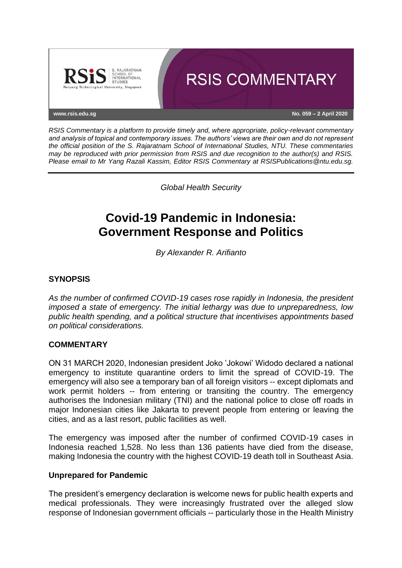

*RSIS Commentary is a platform to provide timely and, where appropriate, policy-relevant commentary and analysis of topical and contemporary issues. The authors' views are their own and do not represent the official position of the S. Rajaratnam School of International Studies, NTU. These commentaries may be reproduced with prior permission from RSIS and due recognition to the author(s) and RSIS. Please email to Mr Yang Razali Kassim, Editor RSIS Commentary at RSISPublications@ntu.edu.sg.*

*Global Health Security*

# **Covid-19 Pandemic in Indonesia: Government Response and Politics**

*By Alexander R. Arifianto*

### **SYNOPSIS**

*As the number of confirmed COVID-19 cases rose rapidly in Indonesia, the president imposed a state of emergency. The initial lethargy was due to unpreparedness, low public health spending, and a political structure that incentivises appointments based on political considerations.*

#### **COMMENTARY**

ON 31 MARCH 2020, Indonesian president Joko 'Jokowi' Widodo declared a national emergency to institute quarantine orders to limit the spread of COVID-19. The emergency will also see a temporary ban of all foreign visitors -- except diplomats and work permit holders -- from entering or transiting the country. The emergency authorises the Indonesian military (TNI) and the national police to close off roads in major Indonesian cities like Jakarta to prevent people from entering or leaving the cities, and as a last resort, public facilities as well.

The emergency was imposed after the number of confirmed COVID-19 cases in Indonesia reached 1,528. No less than 136 patients have died from the disease, making Indonesia the country with the highest COVID-19 death toll in Southeast Asia.

#### **Unprepared for Pandemic**

The president's emergency declaration is welcome news for public health experts and medical professionals. They were increasingly frustrated over the alleged slow response of Indonesian government officials -- particularly those in the Health Ministry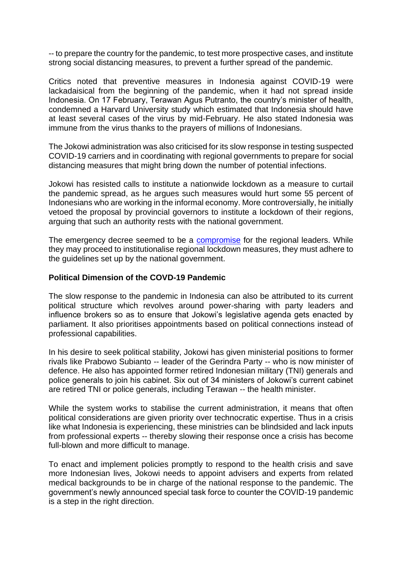-- to prepare the country for the pandemic, to test more prospective cases, and institute strong social distancing measures, to prevent a further spread of the pandemic.

Critics noted that preventive measures in Indonesia against COVID-19 were lackadaisical from the beginning of the pandemic, when it had not spread inside Indonesia. On 17 February, Terawan Agus Putranto, the country's minister of health, condemned a Harvard University study which estimated that Indonesia should have at least several cases of the virus by mid-February. He also stated Indonesia was immune from the virus thanks to the prayers of millions of Indonesians.

The Jokowi administration was also criticised for its slow response in testing suspected COVID-19 carriers and in coordinating with regional governments to prepare for social distancing measures that might bring down the number of potential infections.

Jokowi has resisted calls to institute a nationwide lockdown as a measure to curtail the pandemic spread, as he argues such measures would hurt some 55 percent of Indonesians who are working in the informal economy. More controversially, he initially vetoed the proposal by provincial governors to institute a lockdown of their regions, arguing that such an authority rests with the national government.

The emergency decree seemed to be a [compromise](https://www.thejakartapost.com/news/2020/03/31/jokowi-declares-covid-19-health-emergency-imposes-large-scale-social-restrictions.html?src=mostviewed&pg=news) for the regional leaders. While they may proceed to institutionalise regional lockdown measures, they must adhere to the guidelines set up by the national government.

#### **Political Dimension of the COVD-19 Pandemic**

The slow response to the pandemic in Indonesia can also be attributed to its current political structure which revolves around power-sharing with party leaders and influence brokers so as to ensure that Jokowi's legislative agenda gets enacted by parliament. It also prioritises appointments based on political connections instead of professional capabilities.

In his desire to seek political stability, Jokowi has given ministerial positions to former rivals like Prabowo Subianto -- leader of the Gerindra Party -- who is now minister of defence. He also has appointed former retired Indonesian military (TNI) generals and police generals to join his cabinet. Six out of 34 ministers of Jokowi's current cabinet are retired TNI or police generals, including Terawan -- the health minister.

While the system works to stabilise the current administration, it means that often political considerations are given priority over technocratic expertise. Thus in a crisis like what Indonesia is experiencing, these ministries can be blindsided and lack inputs from professional experts -- thereby slowing their response once a crisis has become full-blown and more difficult to manage.

To enact and implement policies promptly to respond to the health crisis and save more Indonesian lives, Jokowi needs to appoint advisers and experts from related medical backgrounds to be in charge of the national response to the pandemic. The government's newly announced special task force to counter the COVID-19 pandemic is a step in the right direction.